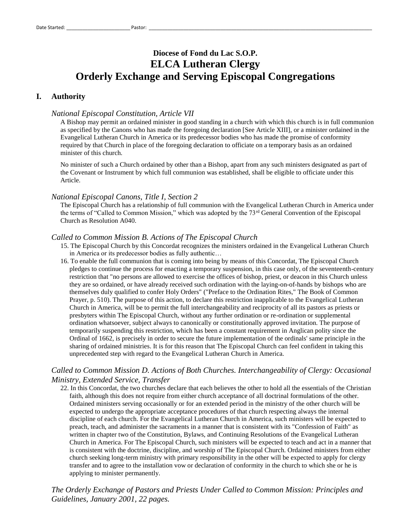# **Diocese of Fond du Lac S.O.P. ELCA Lutheran Clergy Orderly Exchange and Serving Episcopal Congregations**

## **I. Authority**

#### *National Episcopal Constitution, Article VII*

A Bishop may permit an ordained minister in good standing in a church with which this church is in full communion as specified by the Canons who has made the foregoing declaration [See Article XIII], or a minister ordained in the Evangelical Lutheran Church in America or its predecessor bodies who has made the promise of conformity required by that Church in place of the foregoing declaration to officiate on a temporary basis as an ordained minister of this church.

No minister of such a Church ordained by other than a Bishop, apart from any such ministers designated as part of the Covenant or Instrument by which full communion was established, shall be eligible to officiate under this Article.

#### *National Episcopal Canons, Title I, Section 2*

The Episcopal Church has a relationship of full communion with the Evangelical Lutheran Church in America under the terms of "Called to Common Mission," which was adopted by the 73<sup>rd</sup> General Convention of the Episcopal Church as Resolution A040.

#### *Called to Common Mission B. Actions of The Episcopal Church*

- 15. The Episcopal Church by this Concordat recognizes the ministers ordained in the Evangelical Lutheran Church in America or its predecessor bodies as fully authentic…
- 16. To enable the full communion that is coming into being by means of this Concordat, The Episcopal Church pledges to continue the process for enacting a temporary suspension, in this case only, of the seventeenth-century restriction that "no persons are allowed to exercise the offices of bishop, priest, or deacon in this Church unless they are so ordained, or have already received such ordination with the laying-on-of-hands by bishops who are themselves duly qualified to confer Holy Orders" ("Preface to the Ordination Rites," The Book of Common Prayer, p. 510). The purpose of this action, to declare this restriction inapplicable to the Evangelical Lutheran Church in America, will be to permit the full interchangeability and reciprocity of all its pastors as priests or presbyters within The Episcopal Church, without any further ordination or re-ordination or supplemental ordination whatsoever, subject always to canonically or constitutionally approved invitation. The purpose of temporarily suspending this restriction, which has been a constant requirement in Anglican polity since the Ordinal of 1662, is precisely in order to secure the future implementation of the ordinals' same principle in the sharing of ordained ministries. It is for this reason that The Episcopal Church can feel confident in taking this unprecedented step with regard to the Evangelical Lutheran Church in America.

### *Called to Common Mission D. Actions of Both Churches. Interchangeability of Clergy: Occasional Ministry, Extended Service, Transfer*

22. In this Concordat, the two churches declare that each believes the other to hold all the essentials of the Christian faith, although this does not require from either church acceptance of all doctrinal formulations of the other. Ordained ministers serving occasionally or for an extended period in the ministry of the other church will be expected to undergo the appropriate acceptance procedures of that church respecting always the internal discipline of each church. For the Evangelical Lutheran Church in America, such ministers will be expected to preach, teach, and administer the sacraments in a manner that is consistent with its "Confession of Faith" as written in chapter two of the Constitution, Bylaws, and Continuing Resolutions of the Evangelical Lutheran Church in America. For The Episcopal Church, such ministers will be expected to teach and act in a manner that is consistent with the doctrine, discipline, and worship of The Episcopal Church. Ordained ministers from either church seeking long-term ministry with primary responsibility in the other will be expected to apply for clergy transfer and to agree to the installation vow or declaration of conformity in the church to which she or he is applying to minister permanently.

*The Orderly Exchange of Pastors and Priests Under Called to Common Mission: Principles and Guidelines, January 2001, 22 pages.*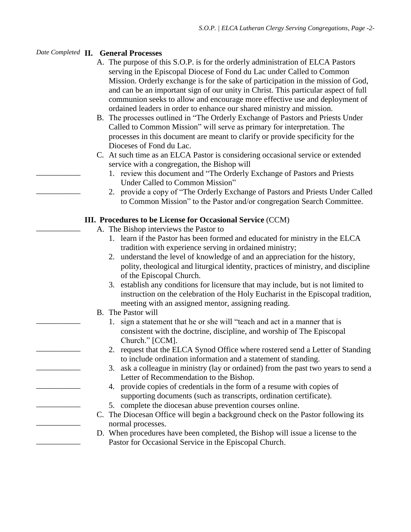# *Date Completed* **II. General Processes**

\_\_\_\_\_\_\_\_\_\_\_

\_\_\_\_\_\_\_\_\_\_\_

\_\_\_\_\_\_\_\_\_\_\_

\_\_\_\_\_\_\_\_\_\_\_

 $\overline{\phantom{a}}$ 

\_\_\_\_\_\_\_\_\_\_\_

\_\_\_\_\_\_\_\_\_\_\_

\_\_\_\_\_\_\_\_\_\_\_

 $\overline{\phantom{a}}$ 

\_\_\_\_\_\_\_\_\_\_\_

- A. The purpose of this S.O.P. is for the orderly administration of ELCA Pastors serving in the Episcopal Diocese of Fond du Lac under Called to Common Mission. Orderly exchange is for the sake of participation in the mission of God, and can be an important sign of our unity in Christ. This particular aspect of full communion seeks to allow and encourage more effective use and deployment of ordained leaders in order to enhance our shared ministry and mission.
- B. The processes outlined in "The Orderly Exchange of Pastors and Priests Under Called to Common Mission" will serve as primary for interpretation. The processes in this document are meant to clarify or provide specificity for the Dioceses of Fond du Lac.
- C. At such time as an ELCA Pastor is considering occasional service or extended service with a congregation, the Bishop will
	- 1. review this document and "The Orderly Exchange of Pastors and Priests Under Called to Common Mission"
	- 2. provide a copy of "The Orderly Exchange of Pastors and Priests Under Called to Common Mission" to the Pastor and/or congregation Search Committee.

# **III. Procedures to be License for Occasional Service** (CCM)

- A. The Bishop interviews the Pastor to
	- 1. learn if the Pastor has been formed and educated for ministry in the ELCA tradition with experience serving in ordained ministry;
	- 2. understand the level of knowledge of and an appreciation for the history, polity, theological and liturgical identity, practices of ministry, and discipline of the Episcopal Church.
	- 3. establish any conditions for licensure that may include, but is not limited to instruction on the celebration of the Holy Eucharist in the Episcopal tradition, meeting with an assigned mentor, assigning reading.
- B. The Pastor will
	- 1. sign a statement that he or she will "teach and act in a manner that is consistent with the doctrine, discipline, and worship of The Episcopal Church." [CCM].
	- 2. request that the ELCA Synod Office where rostered send a Letter of Standing to include ordination information and a statement of standing.
	- 3. ask a colleague in ministry (lay or ordained) from the past two years to send a Letter of Recommendation to the Bishop.
	- 4. provide copies of credentials in the form of a resume with copies of supporting documents (such as transcripts, ordination certificate).
	- 5. complete the diocesan abuse prevention courses online.
- C. The Diocesan Office will begin a background check on the Pastor following its normal processes.
- D. When procedures have been completed, the Bishop will issue a license to the Pastor for Occasional Service in the Episcopal Church.